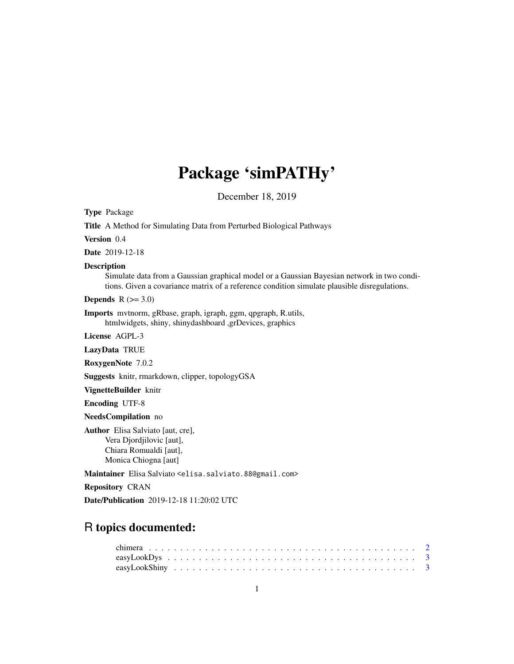# Package 'simPATHy'

December 18, 2019

<span id="page-0-0"></span>Type Package

Title A Method for Simulating Data from Perturbed Biological Pathways Version 0.4 Date 2019-12-18 Description Simulate data from a Gaussian graphical model or a Gaussian Bayesian network in two conditions. Given a covariance matrix of a reference condition simulate plausible disregulations. **Depends**  $R$  ( $>= 3.0$ ) Imports mvtnorm, gRbase, graph, igraph, ggm, qpgraph, R.utils, htmlwidgets, shiny, shinydashboard ,grDevices, graphics License AGPL-3 LazyData TRUE RoxygenNote 7.0.2 Suggests knitr, rmarkdown, clipper, topologyGSA VignetteBuilder knitr Encoding UTF-8 NeedsCompilation no Author Elisa Salviato [aut, cre], Vera Djordjilovic [aut], Chiara Romualdi [aut], Monica Chiogna [aut]

Maintainer Elisa Salviato <elisa.salviato.88@gmail.com>

Repository CRAN

Date/Publication 2019-12-18 11:20:02 UTC

# R topics documented: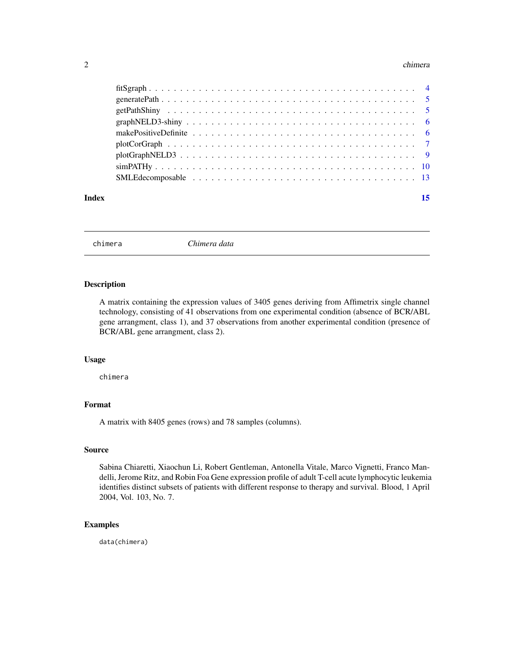#### <span id="page-1-0"></span>2 chimera and the chimera and the chimera and the chimera and the chimera and the chimera and the chimera and the chimera and the chimera and the chimera and the chimera and the chimera and the chimera and the chimera and

| Index | 15 |
|-------|----|

chimera *Chimera data*

#### Description

A matrix containing the expression values of 3405 genes deriving from Affimetrix single channel technology, consisting of 41 observations from one experimental condition (absence of BCR/ABL gene arrangment, class 1), and 37 observations from another experimental condition (presence of BCR/ABL gene arrangment, class 2).

### Usage

chimera

# Format

A matrix with 8405 genes (rows) and 78 samples (columns).

# Source

Sabina Chiaretti, Xiaochun Li, Robert Gentleman, Antonella Vitale, Marco Vignetti, Franco Mandelli, Jerome Ritz, and Robin Foa Gene expression profile of adult T-cell acute lymphocytic leukemia identifies distinct subsets of patients with different response to therapy and survival. Blood, 1 April 2004, Vol. 103, No. 7.

# Examples

data(chimera)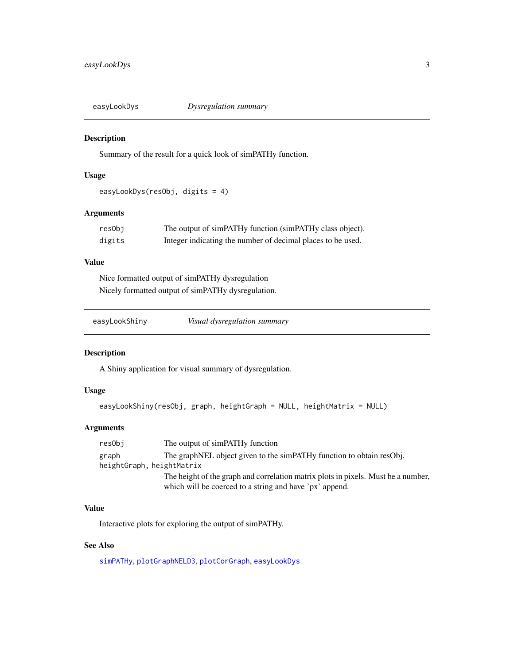<span id="page-2-1"></span><span id="page-2-0"></span>

#### Description

Summary of the result for a quick look of simPATHy function.

# Usage

```
easyLookDys(resObj, digits = 4)
```
# Arguments

| resObi | The output of simPATHy function (simPATHy class object).    |
|--------|-------------------------------------------------------------|
| digits | Integer indicating the number of decimal places to be used. |

### Value

Nice formatted output of simPATHy dysregulation Nicely formatted output of simPATHy dysregulation.

<span id="page-2-2"></span>

| easyLookShiny | Visual dysregulation summary |
|---------------|------------------------------|
|               |                              |

#### Description

A Shiny application for visual summary of dysregulation.

### Usage

```
easyLookShiny(resObj, graph, heightGraph = NULL, heightMatrix = NULL)
```
# Arguments

resObj The output of simPATHy function graph The graphNEL object given to the simPATHy function to obtain resObj. heightGraph, heightMatrix The height of the graph and correlation matrix plots in pixels. Must be a number, which will be coerced to a string and have 'px' append.

# Value

Interactive plots for exploring the output of simPATHy.

# See Also

[simPATHy](#page-9-1), [plotGraphNELD3](#page-8-1), [plotCorGraph](#page-6-1), [easyLookDys](#page-2-1)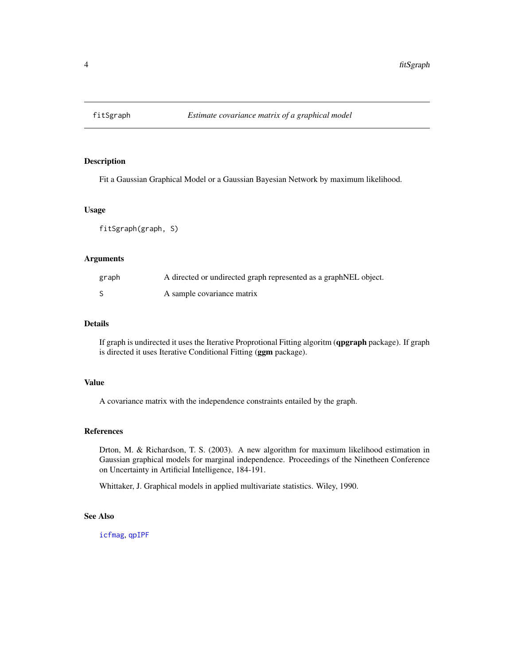<span id="page-3-1"></span><span id="page-3-0"></span>

# Description

Fit a Gaussian Graphical Model or a Gaussian Bayesian Network by maximum likelihood.

#### Usage

fitSgraph(graph, S)

# Arguments

| graph | A directed or undirected graph represented as a graphNEL object. |
|-------|------------------------------------------------------------------|
|       | A sample covariance matrix                                       |

# Details

If graph is undirected it uses the Iterative Proprotional Fitting algoritm (qpgraph package). If graph is directed it uses Iterative Conditional Fitting (ggm package).

### Value

A covariance matrix with the independence constraints entailed by the graph.

#### References

Drton, M. & Richardson, T. S. (2003). A new algorithm for maximum likelihood estimation in Gaussian graphical models for marginal independence. Proceedings of the Ninetheen Conference on Uncertainty in Artificial Intelligence, 184-191.

Whittaker, J. Graphical models in applied multivariate statistics. Wiley, 1990.

# See Also

[icfmag](#page-0-0), [qpIPF](#page-0-0)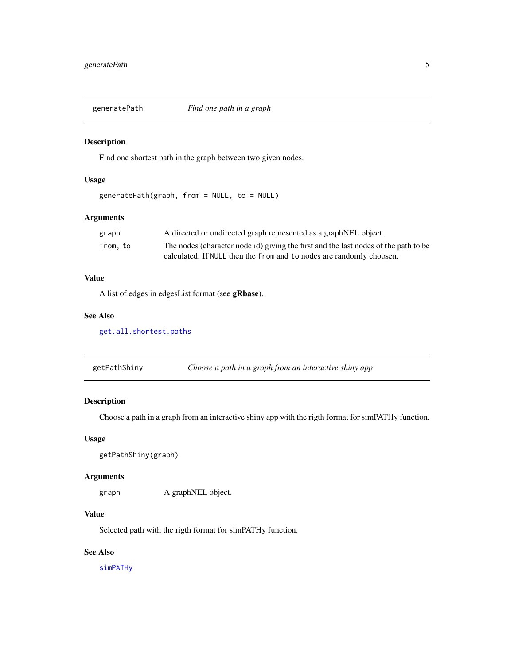<span id="page-4-0"></span>

#### Description

Find one shortest path in the graph between two given nodes.

# Usage

```
generatePath(graph, from = NULL, to = NULL)
```
#### Arguments

| graph   | A directed or undirected graph represented as a graph NEL object.                   |
|---------|-------------------------------------------------------------------------------------|
| from.to | The nodes (character node id) giving the first and the last nodes of the path to be |
|         | calculated. If NULL then the from and to nodes are randomly choosen.                |

# Value

A list of edges in edgesList format (see gRbase).

#### See Also

[get.all.shortest.paths](#page-0-0)

getPathShiny *Choose a path in a graph from an interactive shiny app*

# Description

Choose a path in a graph from an interactive shiny app with the rigth format for simPATHy function.

#### Usage

```
getPathShiny(graph)
```
#### Arguments

graph A graphNEL object.

# Value

Selected path with the rigth format for simPATHy function.

# See Also

[simPATHy](#page-9-1)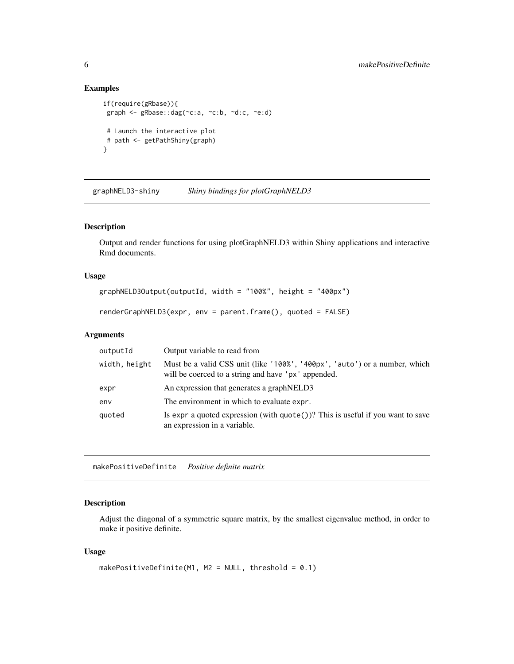# Examples

```
if(require(gRbase)){
graph <- gRbase::dag(~c:a, ~c:b, ~d:c, ~e:d)
 # Launch the interactive plot
 # path <- getPathShiny(graph)
}
```
graphNELD3-shiny *Shiny bindings for plotGraphNELD3*

# Description

Output and render functions for using plotGraphNELD3 within Shiny applications and interactive Rmd documents.

#### Usage

```
graphNELD3Output(outputId, width = "100%", height = "400px")
```

```
renderGraphNELD3(expr, env = parent.frame(), quoted = FALSE)
```
# Arguments

| outputId      | Output variable to read from                                                                                                      |
|---------------|-----------------------------------------------------------------------------------------------------------------------------------|
| width, height | Must be a valid CSS unit (like '100%', '400px', 'auto') or a number, which<br>will be coerced to a string and have 'px' appended. |
| expr          | An expression that generates a graph NELD3                                                                                        |
| env           | The environment in which to evaluate expr.                                                                                        |
| quoted        | Is expr a quoted expression (with $\text{quote}()$ )? This is useful if you want to save<br>an expression in a variable.          |

<span id="page-5-1"></span>makePositiveDefinite *Positive definite matrix*

#### Description

Adjust the diagonal of a symmetric square matrix, by the smallest eigenvalue method, in order to make it positive definite.

#### Usage

```
makePositiveDefinite(M1, M2 = NULL, threshold = 0.1)
```
<span id="page-5-0"></span>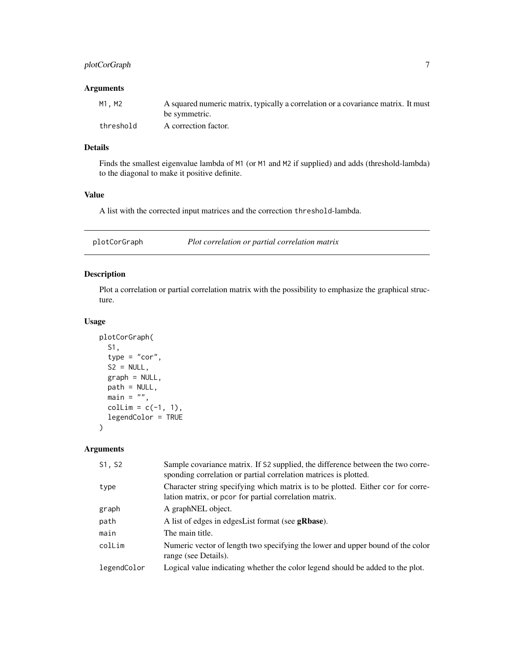# <span id="page-6-0"></span>plotCorGraph 7

### Arguments

| M1.M2     | A squared numeric matrix, typically a correlation or a covariance matrix. It must |
|-----------|-----------------------------------------------------------------------------------|
|           | be symmetric.                                                                     |
| threshold | A correction factor.                                                              |

# Details

Finds the smallest eigenvalue lambda of M1 (or M1 and M2 if supplied) and adds (threshold-lambda) to the diagonal to make it positive definite.

# Value

A list with the corrected input matrices and the correction threshold-lambda.

<span id="page-6-1"></span>

| plotCorGraph | Plot correlation or partial correlation matrix |  |  |
|--------------|------------------------------------------------|--|--|
|--------------|------------------------------------------------|--|--|

# Description

Plot a correlation or partial correlation matrix with the possibility to emphasize the graphical structure.

#### Usage

```
plotCorGraph(
 S1,
  type = "cor",S2 = NULL,graph = NULL,
 path = NULL,
 main = "",collim = c(-1, 1),legendColor = TRUE
)
```
# Arguments

| S1, S2      | Sample covariance matrix. If S2 supplied, the difference between the two corre-<br>sponding correlation or partial correlation matrices is plotted. |
|-------------|-----------------------------------------------------------------------------------------------------------------------------------------------------|
| type        | Character string specifying which matrix is to be plotted. Either cor for corre-<br>lation matrix, or pcor for partial correlation matrix.          |
| graph       | A graphNEL object.                                                                                                                                  |
| path        | A list of edges in edges List format (see <b>gRbase</b> ).                                                                                          |
| main        | The main title.                                                                                                                                     |
| colLim      | Numeric vector of length two specifying the lower and upper bound of the color<br>range (see Details).                                              |
| legendColor | Logical value indicating whether the color legend should be added to the plot.                                                                      |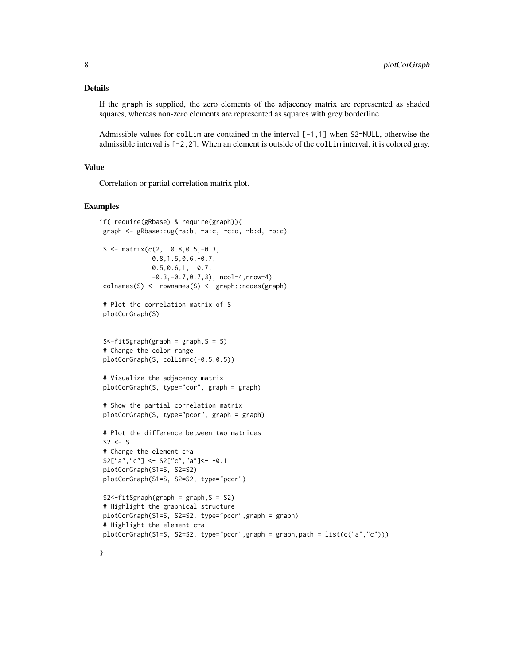#### Details

If the graph is supplied, the zero elements of the adjacency matrix are represented as shaded squares, whereas non-zero elements are represented as squares with grey borderline.

Admissible values for collim are contained in the interval  $[-1,1]$  when S2=NULL, otherwise the admissible interval is [-2,2]. When an element is outside of the colLim interval, it is colored gray.

# Value

Correlation or partial correlation matrix plot.

#### Examples

```
if( require(gRbase) & require(graph)){
graph <- gRbase::ug(~a:b, ~a:c, ~c:d, ~b:d, ~b:c)
S \leq - matrix(c(2, 0.8,0.5,-0.3,
              0.8,1.5,0.6,-0.7,
              0.5,0.6,1, 0.7,
              -0.3,-0.7,0.7,3), ncol=4,nrow=4)
 colnames(S) <- rownames(S) <- graph::nodes(graph)
 # Plot the correlation matrix of S
 plotCorGraph(S)
 S<-fitSgraph(graph = graph,S = S)
 # Change the color range
 plotCorGraph(S, colLim=c(-0.5,0.5))
 # Visualize the adjacency matrix
 plotCorGraph(S, type="cor", graph = graph)
 # Show the partial correlation matrix
 plotCorGraph(S, type="pcor", graph = graph)
 # Plot the difference between two matrices
S2 \leq S# Change the element c~a
 S2['a'', 'c''] <- S2['c'', 'a''] <- -0.1
 plotCorGraph(S1=S, S2=S2)
plotCorGraph(S1=S, S2=S2, type="pcor")
 S2 <- fitSgraph(graph = graph, S = S2)
 # Highlight the graphical structure
plotCorGraph(S1=S, S2=S2, type="pcor",graph = graph)
 # Highlight the element c~a
plotCorGraph(S1=S, S2=S2, type="pcor",graph = graph,path = list(c("a","c")))
```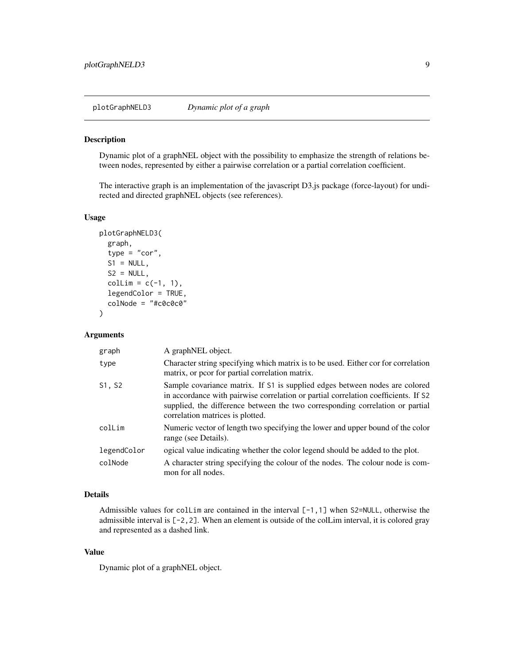<span id="page-8-1"></span><span id="page-8-0"></span>plotGraphNELD3 *Dynamic plot of a graph*

#### Description

Dynamic plot of a graphNEL object with the possibility to emphasize the strength of relations between nodes, represented by either a pairwise correlation or a partial correlation coefficient.

The interactive graph is an implementation of the javascript D3.js package (force-layout) for undirected and directed graphNEL objects (see references).

# Usage

```
plotGraphNELD3(
  graph,
  type = "cor",
  S1 = NULL,S2 = NULL,collim = c(-1, 1),legendColor = TRUE,
  colNode = "#c0c0c0"
\mathcal{L}
```
#### Arguments

| graph       | A graphNEL object.                                                                                                                                                                                                                                                                     |
|-------------|----------------------------------------------------------------------------------------------------------------------------------------------------------------------------------------------------------------------------------------------------------------------------------------|
| type        | Character string specifying which matrix is to be used. Either cor for correlation<br>matrix, or pcor for partial correlation matrix.                                                                                                                                                  |
| S1, S2      | Sample covariance matrix. If S1 is supplied edges between nodes are colored<br>in accordance with pairwise correlation or partial correlation coefficients. If S2<br>supplied, the difference between the two corresponding correlation or partial<br>correlation matrices is plotted. |
| colLim      | Numeric vector of length two specifying the lower and upper bound of the color<br>range (see Details).                                                                                                                                                                                 |
| legendColor | ogical value indicating whether the color legend should be added to the plot.                                                                                                                                                                                                          |
| colNode     | A character string specifying the colour of the nodes. The colour node is com-<br>mon for all nodes.                                                                                                                                                                                   |

### Details

Admissible values for collim are contained in the interval  $[-1,1]$  when S2=NULL, otherwise the admissible interval is [-2,2]. When an element is outside of the colLim interval, it is colored gray and represented as a dashed link.

# Value

Dynamic plot of a graphNEL object.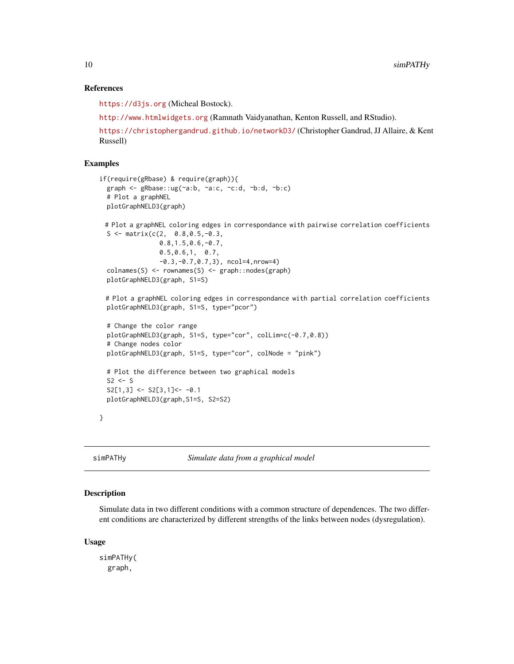#### <span id="page-9-0"></span>References

<https://d3js.org> (Micheal Bostock).

<http://www.htmlwidgets.org> (Ramnath Vaidyanathan, Kenton Russell, and RStudio).

<https://christophergandrud.github.io/networkD3/> (Christopher Gandrud, JJ Allaire, & Kent Russell)

# Examples

```
if(require(gRbase) & require(graph)){
 graph <- gRbase::ug(~a:b, ~a:c, ~c:d, ~b:d, ~b:c)
 # Plot a graphNEL
 plotGraphNELD3(graph)
 # Plot a graphNEL coloring edges in correspondance with pairwise correlation coefficients
 S <- matrix(c(2, 0.8, 0.5, -0.3,0.8,1.5,0.6,-0.7,
                0.5,0.6,1, 0.7,
                -0.3,-0.7,0.7,3), ncol=4,nrow=4)
 colnames(S) <- rownames(S) <- graph::nodes(graph)
 plotGraphNELD3(graph, S1=S)
 # Plot a graphNEL coloring edges in correspondance with partial correlation coefficients
 plotGraphNELD3(graph, S1=S, type="pcor")
 # Change the color range
 plotGraphNELD3(graph, S1=S, type="cor", colLim=c(-0.7,0.8))
 # Change nodes color
 plotGraphNELD3(graph, S1=S, type="cor", colNode = "pink")
 # Plot the difference between two graphical models
 S2 \leq SS2[1,3] <- S2[3,1] <- -0.1
 plotGraphNELD3(graph,S1=S, S2=S2)
}
```
<span id="page-9-1"></span>simPATHy *Simulate data from a graphical model*

#### Description

Simulate data in two different conditions with a common structure of dependences. The two different conditions are characterized by different strengths of the links between nodes (dysregulation).

#### Usage

simPATHy( graph,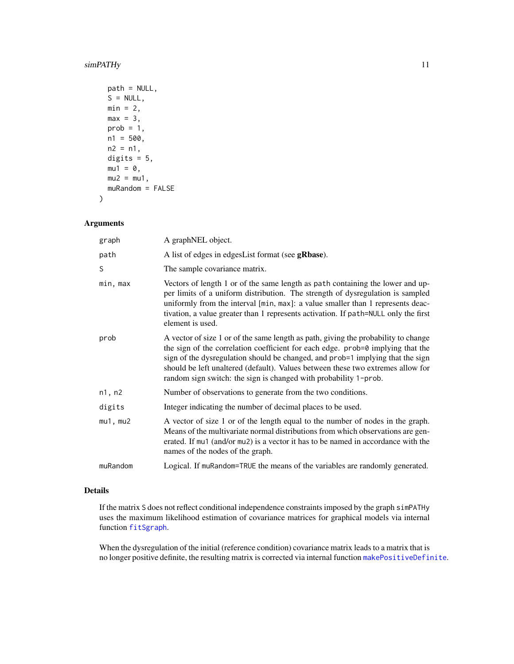# <span id="page-10-0"></span>simPATHy 11

```
path = NULL,
S = NULL,min = 2,
max = 3,
prob = 1,
n1 = 500,n2 = n1,
digits = 5,
mu1 = 0,
mu2 = mu1,
muRandom = FALSE
```
# Arguments

)

| graph         | A graphNEL object.                                                                                                                                                                                                                                                                                                                                                                                             |
|---------------|----------------------------------------------------------------------------------------------------------------------------------------------------------------------------------------------------------------------------------------------------------------------------------------------------------------------------------------------------------------------------------------------------------------|
| path          | A list of edges in edgesList format (see gRbase).                                                                                                                                                                                                                                                                                                                                                              |
| S             | The sample covariance matrix.                                                                                                                                                                                                                                                                                                                                                                                  |
| min, max      | Vectors of length 1 or of the same length as path containing the lower and up-<br>per limits of a uniform distribution. The strength of dysregulation is sampled<br>uniformly from the interval [min, max]: a value smaller than 1 represents deac-<br>tivation, a value greater than 1 represents activation. If path=NULL only the first<br>element is used.                                                 |
| prob          | A vector of size 1 or of the same length as path, giving the probability to change<br>the sign of the correlation coefficient for each edge. prob=0 implying that the<br>sign of the dysregulation should be changed, and prob=1 implying that the sign<br>should be left unaltered (default). Values between these two extremes allow for<br>random sign switch: the sign is changed with probability 1-prob. |
| n1, n2        | Number of observations to generate from the two conditions.                                                                                                                                                                                                                                                                                                                                                    |
| digits        | Integer indicating the number of decimal places to be used.                                                                                                                                                                                                                                                                                                                                                    |
| $mu1$ , $mu2$ | A vector of size 1 or of the length equal to the number of nodes in the graph.<br>Means of the multivariate normal distributions from which observations are gen-<br>erated. If mu1 (and/or mu2) is a vector it has to be named in accordance with the<br>names of the nodes of the graph.                                                                                                                     |
| muRandom      | Logical. If muRandom=TRUE the means of the variables are randomly generated.                                                                                                                                                                                                                                                                                                                                   |

# Details

If the matrix S does not reflect conditional independence constraints imposed by the graph simPATHy uses the maximum likelihood estimation of covariance matrices for graphical models via internal function [fitSgraph](#page-3-1).

When the dysregulation of the initial (reference condition) covariance matrix leads to a matrix that is no longer positive definite, the resulting matrix is corrected via internal function [makePositiveDefinite](#page-5-1).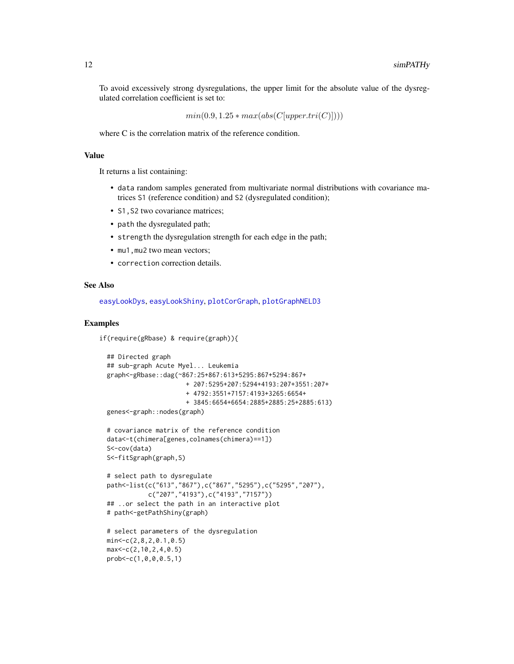<span id="page-11-0"></span>To avoid excessively strong dysregulations, the upper limit for the absolute value of the dysregulated correlation coefficient is set to:

 $min(0.9, 1.25 * max(abs(C[upper.tri(C)])))$ 

where C is the correlation matrix of the reference condition.

#### Value

It returns a list containing:

- data random samples generated from multivariate normal distributions with covariance matrices S1 (reference condition) and S2 (dysregulated condition);
- S1, S2 two covariance matrices;
- path the dysregulated path;
- strength the dysregulation strength for each edge in the path;
- mu1, mu2 two mean vectors;
- correction correction details.

#### See Also

[easyLookDys](#page-2-1), [easyLookShiny](#page-2-2), [plotCorGraph](#page-6-1), [plotGraphNELD3](#page-8-1)

#### Examples

```
if(require(gRbase) & require(graph)){
```

```
## Directed graph
## sub-graph Acute Myel... Leukemia
graph<-gRbase::dag(~867:25+867:613+5295:867+5294:867+
                     + 207:5295+207:5294+4193:207+3551:207+
                     + 4792:3551+7157:4193+3265:6654+
                     + 3845:6654+6654:2885+2885:25+2885:613)
genes<-graph::nodes(graph)
# covariance matrix of the reference condition
data<-t(chimera[genes,colnames(chimera)==1])
S<-cov(data)
S<-fitSgraph(graph,S)
# select path to dysregulate
path<-list(c("613","867"),c("867","5295"),c("5295","207"),
           c("207","4193"),c("4193","7157"))
## ..or select the path in an interactive plot
# path<-getPathShiny(graph)
# select parameters of the dysregulation
min<-c(2,8,2,0.1,0.5)
max<-c(2,10,2,4,0.5)
prob<-c(1,0,0,0.5,1)
```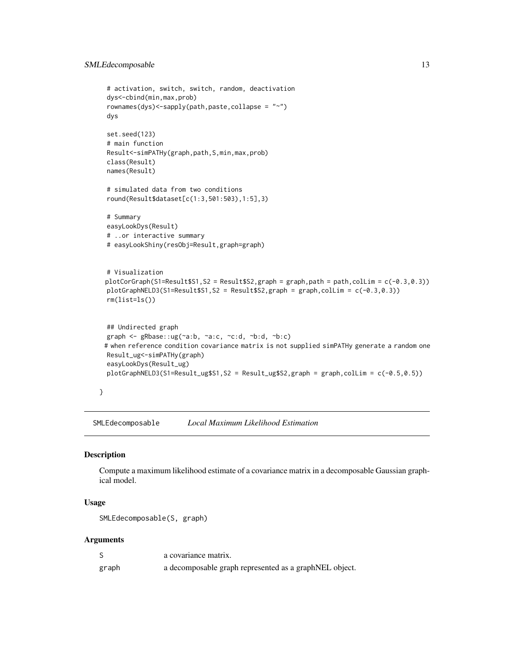#### <span id="page-12-0"></span>SMLEdecomposable 13

```
# activation, switch, switch, random, deactivation
 dys<-cbind(min,max,prob)
 rownames(dys)<-sapply(path,paste,collapse = "~")
 dys
 set.seed(123)
 # main function
 Result<-simPATHy(graph,path,S,min,max,prob)
 class(Result)
 names(Result)
 # simulated data from two conditions
 round(Result$dataset[c(1:3,501:503),1:5],3)
 # Summary
 easyLookDys(Result)
 # ..or interactive summary
 # easyLookShiny(resObj=Result,graph=graph)
 # Visualization
 plotCorGraph(S1=Result$S1,S2 = Result$S2,graph = graph,path = path,colLim = c(-0.3,0.3))
 plotGraphNELD3(S1=Result$S1,S2 = Result$S2,graph = graph,colLim = c(-0.3,0.3))
 rm(list=ls())
 ## Undirected graph
 graph <- gRbase::ug(~a:b, ~a:c, ~c:d, ~b:d, ~b:c)
 # when reference condition covariance matrix is not supplied simPATHy generate a random one
 Result_ug<-simPATHy(graph)
 easyLookDys(Result_ug)
 plotGraphNELD3(S1=Result_ug$S1,S2 = Result_ug$S2,graph = graph,colLim = c(-0.5,0.5))
}
```
SMLEdecomposable *Local Maximum Likelihood Estimation*

#### Description

Compute a maximum likelihood estimate of a covariance matrix in a decomposable Gaussian graphical model.

#### Usage

```
SMLEdecomposable(S, graph)
```
#### Arguments

|       | a covariance matrix.                                   |
|-------|--------------------------------------------------------|
| graph | a decomposable graph represented as a graphNEL object. |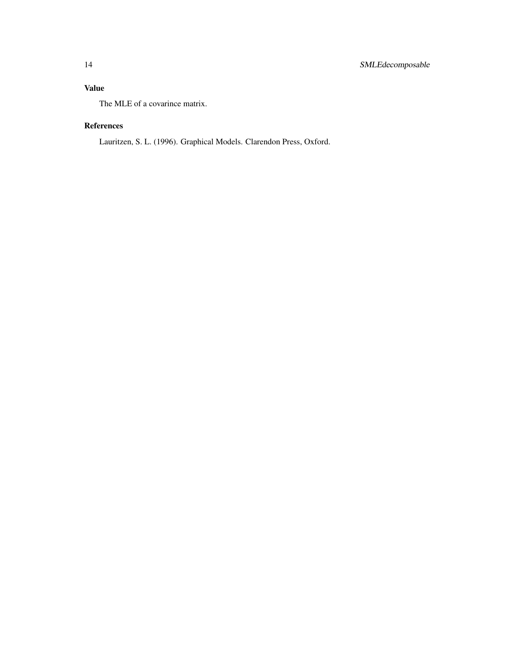# Value

The MLE of a covarince matrix.

# References

Lauritzen, S. L. (1996). Graphical Models. Clarendon Press, Oxford.